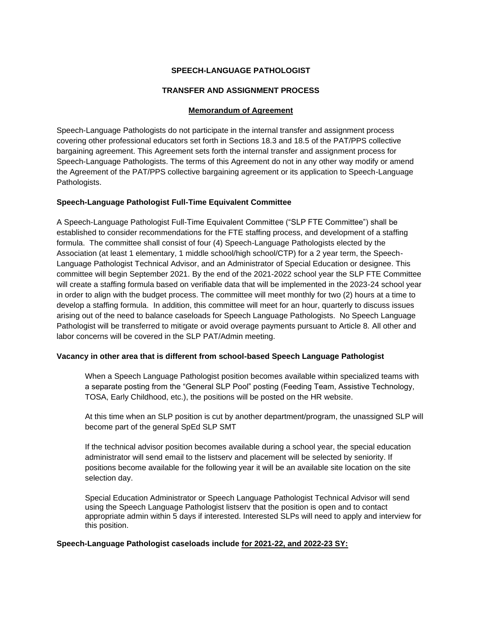# **SPEECH-LANGUAGE PATHOLOGIST**

# **TRANSFER AND ASSIGNMENT PROCESS**

## **Memorandum of Agreement**

Speech-Language Pathologists do not participate in the internal transfer and assignment process covering other professional educators set forth in Sections 18.3 and 18.5 of the PAT/PPS collective bargaining agreement. This Agreement sets forth the internal transfer and assignment process for Speech-Language Pathologists. The terms of this Agreement do not in any other way modify or amend the Agreement of the PAT/PPS collective bargaining agreement or its application to Speech-Language Pathologists.

## **Speech-Language Pathologist Full-Time Equivalent Committee**

A Speech-Language Pathologist Full-Time Equivalent Committee ("SLP FTE Committee") shall be established to consider recommendations for the FTE staffing process, and development of a staffing formula. The committee shall consist of four (4) Speech-Language Pathologists elected by the Association (at least 1 elementary, 1 middle school/high school/CTP) for a 2 year term, the Speech-Language Pathologist Technical Advisor, and an Administrator of Special Education or designee. This committee will begin September 2021. By the end of the 2021-2022 school year the SLP FTE Committee will create a staffing formula based on verifiable data that will be implemented in the 2023-24 school year in order to align with the budget process. The committee will meet monthly for two (2) hours at a time to develop a staffing formula. In addition, this committee will meet for an hour, quarterly to discuss issues arising out of the need to balance caseloads for Speech Language Pathologists. No Speech Language Pathologist will be transferred to mitigate or avoid overage payments pursuant to Article 8. All other and labor concerns will be covered in the SLP PAT/Admin meeting.

#### **Vacancy in other area that is different from school-based Speech Language Pathologist**

When a Speech Language Pathologist position becomes available within specialized teams with a separate posting from the "General SLP Pool" posting (Feeding Team, Assistive Technology, TOSA, Early Childhood, etc.), the positions will be posted on the HR website.

At this time when an SLP position is cut by another department/program, the unassigned SLP will become part of the general SpEd SLP SMT

If the technical advisor position becomes available during a school year, the special education administrator will send email to the listserv and placement will be selected by seniority. If positions become available for the following year it will be an available site location on the site selection day.

Special Education Administrator or Speech Language Pathologist Technical Advisor will send using the Speech Language Pathologist listserv that the position is open and to contact appropriate admin within 5 days if interested. Interested SLPs will need to apply and interview for this position.

#### **Speech-Language Pathologist caseloads include for 2021-22, and 2022-23 SY:**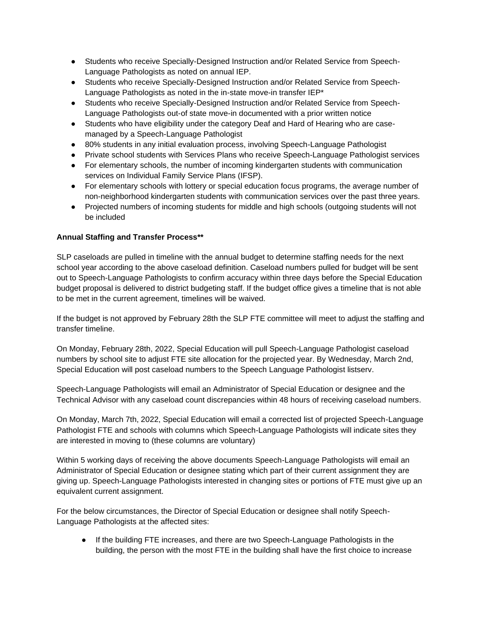- Students who receive Specially-Designed Instruction and/or Related Service from Speech-Language Pathologists as noted on annual IEP.
- Students who receive Specially-Designed Instruction and/or Related Service from Speech-Language Pathologists as noted in the in-state move-in transfer IEP\*
- Students who receive Specially-Designed Instruction and/or Related Service from Speech-Language Pathologists out-of state move-in documented with a prior written notice
- Students who have eligibility under the category Deaf and Hard of Hearing who are casemanaged by a Speech-Language Pathologist
- 80% students in any initial evaluation process, involving Speech-Language Pathologist
- Private school students with Services Plans who receive Speech-Language Pathologist services
- For elementary schools, the number of incoming kindergarten students with communication services on Individual Family Service Plans (IFSP).
- For elementary schools with lottery or special education focus programs, the average number of non-neighborhood kindergarten students with communication services over the past three years.
- Projected numbers of incoming students for middle and high schools (outgoing students will not be included

# **Annual Staffing and Transfer Process\*\***

SLP caseloads are pulled in timeline with the annual budget to determine staffing needs for the next school year according to the above caseload definition. Caseload numbers pulled for budget will be sent out to Speech-Language Pathologists to confirm accuracy within three days before the Special Education budget proposal is delivered to district budgeting staff. If the budget office gives a timeline that is not able to be met in the current agreement, timelines will be waived.

If the budget is not approved by February 28th the SLP FTE committee will meet to adjust the staffing and transfer timeline.

On Monday, February 28th, 2022, Special Education will pull Speech-Language Pathologist caseload numbers by school site to adjust FTE site allocation for the projected year. By Wednesday, March 2nd, Special Education will post caseload numbers to the Speech Language Pathologist listserv.

Speech-Language Pathologists will email an Administrator of Special Education or designee and the Technical Advisor with any caseload count discrepancies within 48 hours of receiving caseload numbers.

On Monday, March 7th, 2022, Special Education will email a corrected list of projected Speech-Language Pathologist FTE and schools with columns which Speech-Language Pathologists will indicate sites they are interested in moving to (these columns are voluntary)

Within 5 working days of receiving the above documents Speech-Language Pathologists will email an Administrator of Special Education or designee stating which part of their current assignment they are giving up. Speech-Language Pathologists interested in changing sites or portions of FTE must give up an equivalent current assignment.

For the below circumstances, the Director of Special Education or designee shall notify Speech-Language Pathologists at the affected sites:

If the building FTE increases, and there are two Speech-Language Pathologists in the building, the person with the most FTE in the building shall have the first choice to increase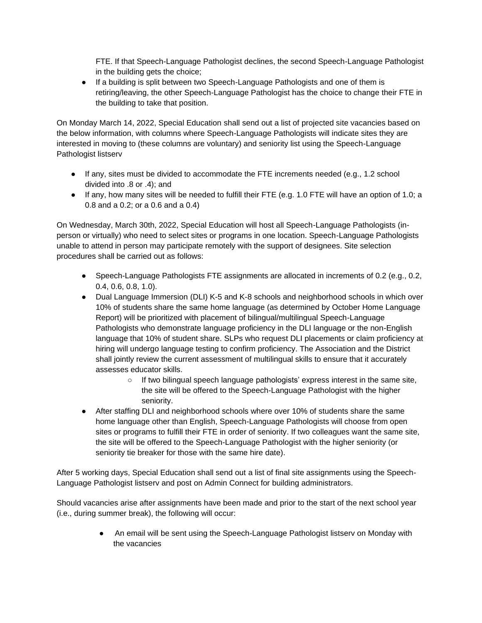FTE. If that Speech-Language Pathologist declines, the second Speech-Language Pathologist in the building gets the choice;

● If a building is split between two Speech-Language Pathologists and one of them is retiring/leaving, the other Speech-Language Pathologist has the choice to change their FTE in the building to take that position.

On Monday March 14, 2022, Special Education shall send out a list of projected site vacancies based on the below information, with columns where Speech-Language Pathologists will indicate sites they are interested in moving to (these columns are voluntary) and seniority list using the Speech-Language Pathologist listserv

- If any, sites must be divided to accommodate the FTE increments needed (e.g., 1.2 school divided into .8 or .4); and
- If any, how many sites will be needed to fulfill their FTE (e.g. 1.0 FTE will have an option of 1.0; a 0.8 and a 0.2; or a 0.6 and a 0.4)

On Wednesday, March 30th, 2022, Special Education will host all Speech-Language Pathologists (inperson or virtually) who need to select sites or programs in one location. Speech-Language Pathologists unable to attend in person may participate remotely with the support of designees. Site selection procedures shall be carried out as follows:

- Speech-Language Pathologists FTE assignments are allocated in increments of 0.2 (e.g., 0.2, 0.4, 0.6, 0.8, 1.0).
- Dual Language Immersion (DLI) K-5 and K-8 schools and neighborhood schools in which over 10% of students share the same home language (as determined by October Home Language Report) will be prioritized with placement of bilingual/multilingual Speech-Language Pathologists who demonstrate language proficiency in the DLI language or the non-English language that 10% of student share. SLPs who request DLI placements or claim proficiency at hiring will undergo language testing to confirm proficiency. The Association and the District shall jointly review the current assessment of multilingual skills to ensure that it accurately assesses educator skills.
	- If two bilingual speech language pathologists' express interest in the same site, the site will be offered to the Speech-Language Pathologist with the higher seniority.
- After staffing DLI and neighborhood schools where over 10% of students share the same home language other than English, Speech-Language Pathologists will choose from open sites or programs to fulfill their FTE in order of seniority. If two colleagues want the same site, the site will be offered to the Speech-Language Pathologist with the higher seniority (or seniority tie breaker for those with the same hire date).

After 5 working days, Special Education shall send out a list of final site assignments using the Speech-Language Pathologist listserv and post on Admin Connect for building administrators.

Should vacancies arise after assignments have been made and prior to the start of the next school year (i.e., during summer break), the following will occur:

> ● An email will be sent using the Speech-Language Pathologist listserv on Monday with the vacancies